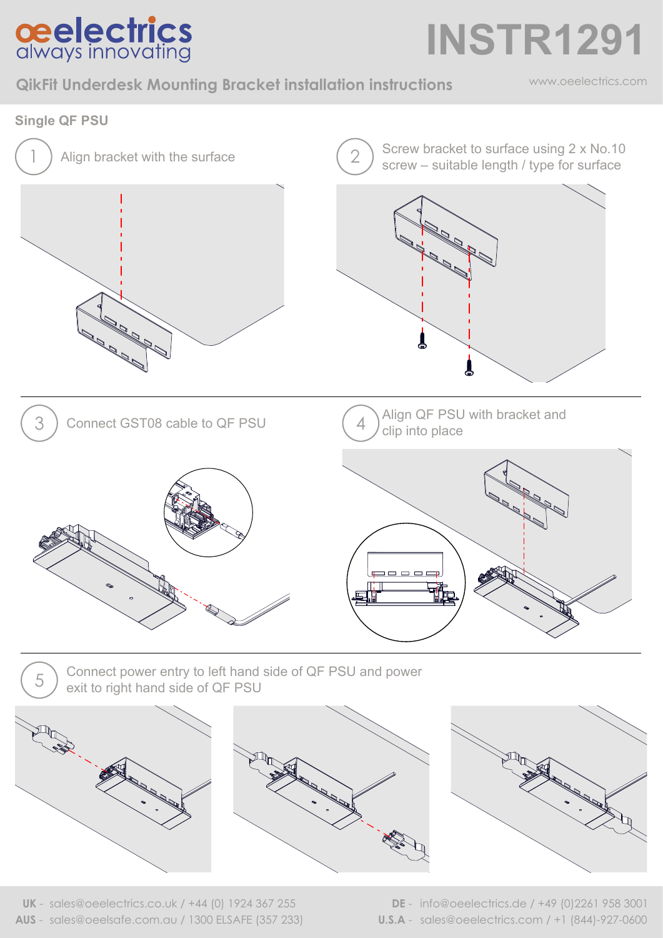

**INSTR1291**

**QikFit Underdesk Mounting Bracket installation instructions**

www.oeelectrics.com



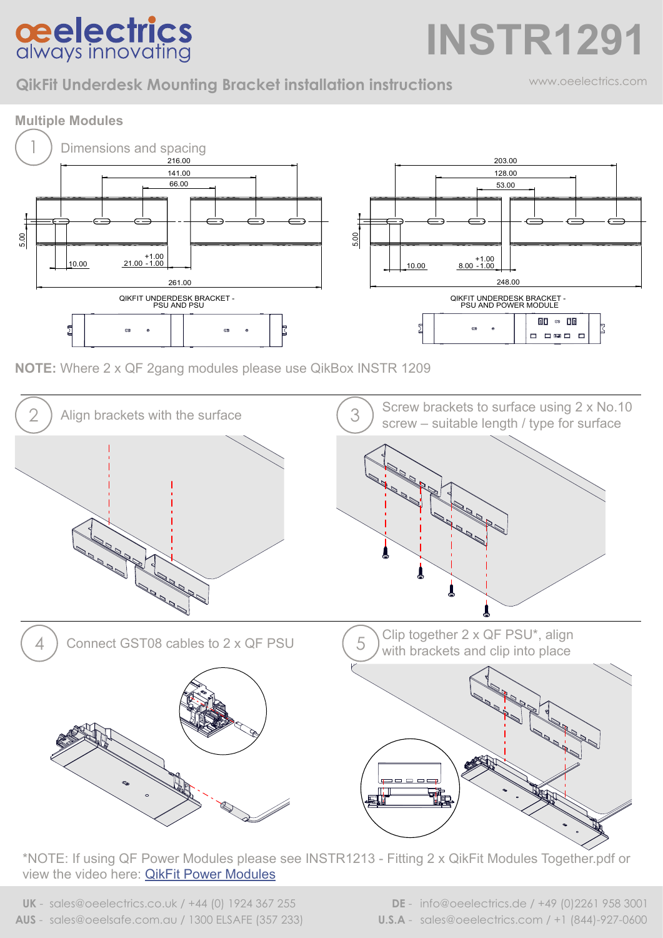## **ceelectrics**<br>always innovating

**QikFit Underdesk Mounting Bracket installation instructions**

www.oeelectrics.com

**INSTR1291**



**NOTE:** Where 2 x QF 2gang modules please use QikBox INSTR 1209



\*NOTE: If using QF Power Modules please see INSTR1213 - Fitting 2 x QikFit Modules Together.pdf or view the video here: [QikFit Power Modules](https://www.oeelectrics.co.uk/2019/01/qikfit-euro/)